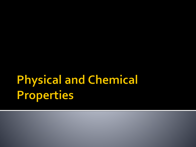# **Physical and Chemical Properties**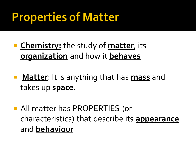### **Properties of Matter**

- **Chemistry:** the study of **matter**, its **organization** and how it **behaves**
- **Matter**: It is anything that has **mass** and takes up **space**.
- All matter has PROPERTIES (or characteristics) that describe its **appearance** and **behaviour**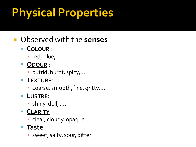# **Physical Properties**

### Observed with the **senses**

#### ▪ **COLOUR** :

- red, blue,….
- **ODOUR** :
	- putrid, burnt, spicy,…
- **TEXTURE**:
	- coarse, smooth, fine, gritty,...

#### ▪ **LUSTRE**:

 $\blacksquare$  shiny, dull, ....

#### ▪ **CLARITY**

▪ clear, cloudy, opaque, …

#### ▪ **Taste**

**·** sweet, salty, sour, bitter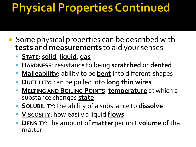### **Physical Properties Continued**

- **Some physical properties can be described with tests** and **measurements** to aid your senses
	- **STATE**: **solid**, **liquid**, **gas**
	- **HARDNESS:** resistance to being **scratched** or **dented**
	- Malleability: ability to be **bent** into different shapes
	- **DUCTILITY:** can be pulled into long thin wires
	- **MELTING AND BOILING POINTS**: **temperature** at which a substance changes **state**
	- **SOLUBILITY:** the ability of a substance to **dissolve**
	- **YISCOSITY:** how easily a liquid **flows**
	- **DENSITY:** the amount of **matter** per unit **volume** of that matter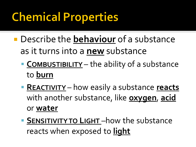## **Chemical Properties**

- Describe the **behaviour** of a substance as it turns into a **new** substance
	- **EXPOMBUSTIBILITY** the ability of a substance to **burn**
	- **EXEACTIVITY** how easily a substance **reacts** with another substance, like **oxygen**, **acid** or **water**
	- **SENSITIVITYTO LIGHT** –how the substance reacts when exposed to **light**